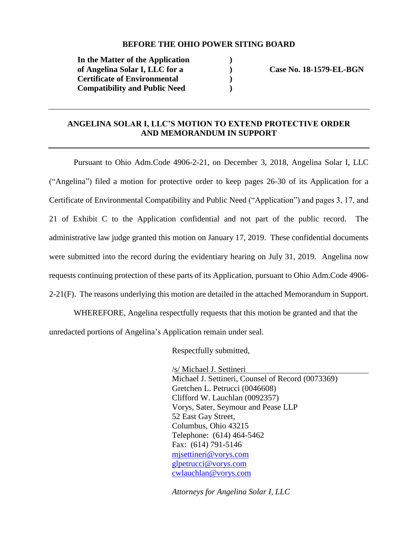#### **BEFORE THE OHIO POWER SITING BOARD**

**) ) ) )**

**In the Matter of the Application of Angelina Solar I, LLC for a Certificate of Environmental Compatibility and Public Need** 

 **Case No. 18-1579-EL-BGN**

### **ANGELINA SOLAR I, LLC'S MOTION TO EXTEND PROTECTIVE ORDER AND MEMORANDUM IN SUPPORT**

Pursuant to Ohio Adm.Code 4906-2-21, on December 3, 2018, Angelina Solar I, LLC ("Angelina") filed a motion for protective order to keep pages 26-30 of its Application for a Certificate of Environmental Compatibility and Public Need ("Application") and pages 3, 17, and 21 of Exhibit C to the Application confidential and not part of the public record. The administrative law judge granted this motion on January 17, 2019. These confidential documents were submitted into the record during the evidentiary hearing on July 31, 2019. Angelina now requests continuing protection of these parts of its Application, pursuant to Ohio Adm.Code 4906-  $2-21(F)$ . The reasons underlying this motion are detailed in the attached Memorandum in Support.

WHEREFORE, Angelina respectfully requests that this motion be granted and that the unredacted portions of Angelina's Application remain under seal.

Respectfully submitted,

/s/ Michael J. Settineri Michael J. Settineri, Counsel of Record (0073369) Gretchen L. Petrucci (0046608) Clifford W. Lauchlan (0092357) Vorys, Sater, Seymour and Pease LLP 52 East Gay Street, Columbus, Ohio 43215 Telephone: (614) 464-5462 Fax: (614) 791-5146 [mjsettineri@vorys.com](mailto:mjsettineri@vorys.com)  [glpetrucci@vorys.com](mailto:glpetrucci@vorys.com)  [cwlauchlan@vorys.com](mailto:cwlauchlan@vorys.com)

*Attorneys for Angelina Solar I, LLC*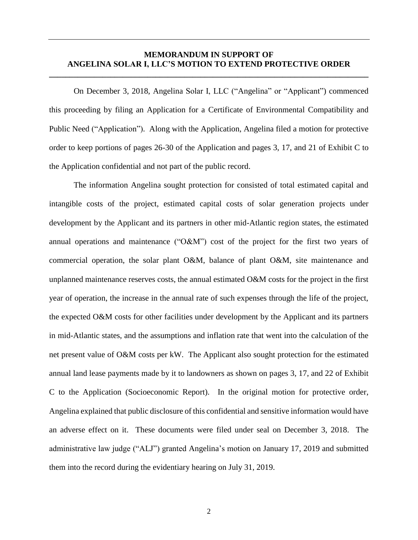#### **MEMORANDUM IN SUPPORT OF ANGELINA SOLAR I, LLC'S MOTION TO EXTEND PROTECTIVE ORDER \_\_\_\_\_\_\_\_\_\_\_\_\_\_\_\_\_\_\_\_\_\_\_\_\_\_\_\_\_\_\_\_\_\_\_\_\_\_\_\_\_\_\_\_\_\_\_\_\_\_\_\_\_\_\_\_\_\_\_\_\_\_\_\_\_\_\_\_\_\_\_\_\_\_\_\_\_\_**

On December 3, 2018, Angelina Solar I, LLC ("Angelina" or "Applicant") commenced this proceeding by filing an Application for a Certificate of Environmental Compatibility and Public Need ("Application"). Along with the Application, Angelina filed a motion for protective order to keep portions of pages 26-30 of the Application and pages 3, 17, and 21 of Exhibit C to the Application confidential and not part of the public record.

The information Angelina sought protection for consisted of total estimated capital and intangible costs of the project, estimated capital costs of solar generation projects under development by the Applicant and its partners in other mid-Atlantic region states, the estimated annual operations and maintenance ("O&M") cost of the project for the first two years of commercial operation, the solar plant O&M, balance of plant O&M, site maintenance and unplanned maintenance reserves costs, the annual estimated O&M costs for the project in the first year of operation, the increase in the annual rate of such expenses through the life of the project, the expected O&M costs for other facilities under development by the Applicant and its partners in mid-Atlantic states, and the assumptions and inflation rate that went into the calculation of the net present value of O&M costs per kW. The Applicant also sought protection for the estimated annual land lease payments made by it to landowners as shown on pages 3, 17, and 22 of Exhibit C to the Application (Socioeconomic Report). In the original motion for protective order, Angelina explained that public disclosure of this confidential and sensitive information would have an adverse effect on it. These documents were filed under seal on December 3, 2018. The administrative law judge ("ALJ") granted Angelina's motion on January 17, 2019 and submitted them into the record during the evidentiary hearing on July 31, 2019.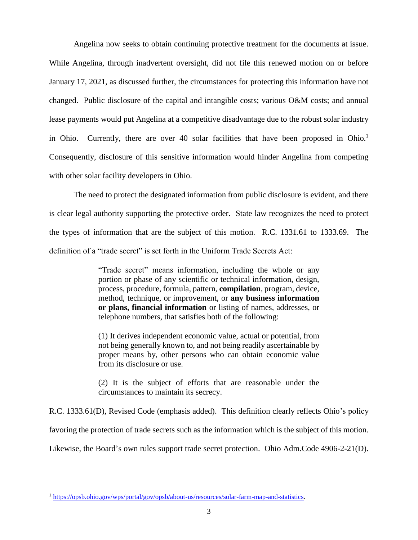Angelina now seeks to obtain continuing protective treatment for the documents at issue. While Angelina, through inadvertent oversight, did not file this renewed motion on or before January 17, 2021, as discussed further, the circumstances for protecting this information have not changed. Public disclosure of the capital and intangible costs; various O&M costs; and annual lease payments would put Angelina at a competitive disadvantage due to the robust solar industry in Ohio. Currently, there are over 40 solar facilities that have been proposed in Ohio.<sup>1</sup> Consequently, disclosure of this sensitive information would hinder Angelina from competing with other solar facility developers in Ohio.

The need to protect the designated information from public disclosure is evident, and there is clear legal authority supporting the protective order. State law recognizes the need to protect the types of information that are the subject of this motion. R.C. 1331.61 to 1333.69. The definition of a "trade secret" is set forth in the Uniform Trade Secrets Act:

> "Trade secret" means information, including the whole or any portion or phase of any scientific or technical information, design, process, procedure, formula, pattern, **compilation**, program, device, method, technique, or improvement, or **any business information or plans, financial information** or listing of names, addresses, or telephone numbers, that satisfies both of the following:

> (1) It derives independent economic value, actual or potential, from not being generally known to, and not being readily ascertainable by proper means by, other persons who can obtain economic value from its disclosure or use.

> (2) It is the subject of efforts that are reasonable under the circumstances to maintain its secrecy.

R.C. 1333.61(D), Revised Code (emphasis added). This definition clearly reflects Ohio's policy

favoring the protection of trade secrets such as the information which is the subject of this motion.

Likewise, the Board's own rules support trade secret protection. Ohio Adm.Code 4906-2-21(D).

 $\overline{a}$ 

<sup>1</sup> [https://opsb.ohio.gov/wps/portal/gov/opsb/about-us/resources/solar-farm-map-and-statistics.](https://opsb.ohio.gov/wps/portal/gov/opsb/about-us/resources/solar-farm-map-and-statistics)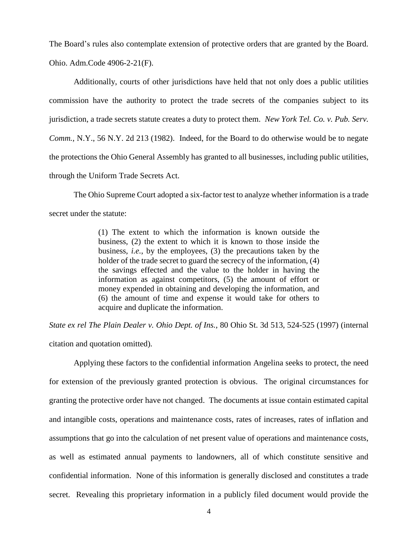The Board's rules also contemplate extension of protective orders that are granted by the Board. Ohio. Adm.Code 4906-2-21(F).

Additionally, courts of other jurisdictions have held that not only does a public utilities commission have the authority to protect the trade secrets of the companies subject to its jurisdiction, a trade secrets statute creates a duty to protect them. *New York Tel. Co. v. Pub. Serv. Comm.*, N.Y., 56 N.Y. 2d 213 (1982). Indeed, for the Board to do otherwise would be to negate the protections the Ohio General Assembly has granted to all businesses, including public utilities, through the Uniform Trade Secrets Act.

The Ohio Supreme Court adopted a six-factor test to analyze whether information is a trade secret under the statute:

> (1) The extent to which the information is known outside the business, (2) the extent to which it is known to those inside the business, *i.e.*, by the employees, (3) the precautions taken by the holder of the trade secret to guard the secrecy of the information, (4) the savings effected and the value to the holder in having the information as against competitors, (5) the amount of effort or money expended in obtaining and developing the information, and (6) the amount of time and expense it would take for others to acquire and duplicate the information.

*State ex rel The Plain Dealer v. Ohio Dept. of Ins.*, 80 Ohio St. 3d 513, 524-525 (1997) (internal citation and quotation omitted).

Applying these factors to the confidential information Angelina seeks to protect, the need for extension of the previously granted protection is obvious. The original circumstances for granting the protective order have not changed. The documents at issue contain estimated capital and intangible costs, operations and maintenance costs, rates of increases, rates of inflation and assumptions that go into the calculation of net present value of operations and maintenance costs, as well as estimated annual payments to landowners, all of which constitute sensitive and confidential information. None of this information is generally disclosed and constitutes a trade secret. Revealing this proprietary information in a publicly filed document would provide the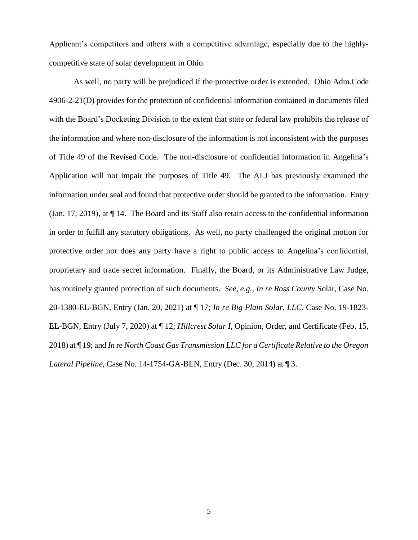Applicant's competitors and others with a competitive advantage, especially due to the highlycompetitive state of solar development in Ohio.

As well, no party will be prejudiced if the protective order is extended. Ohio Adm.Code 4906-2-21(D) provides for the protection of confidential information contained in documents filed with the Board's Docketing Division to the extent that state or federal law prohibits the release of the information and where non-disclosure of the information is not inconsistent with the purposes of Title 49 of the Revised Code. The non-disclosure of confidential information in Angelina's Application will not impair the purposes of Title 49. The ALJ has previously examined the information under seal and found that protective order should be granted to the information. Entry (Jan. 17, 2019), at ¶ 14. The Board and its Staff also retain access to the confidential information in order to fulfill any statutory obligations. As well, no party challenged the original motion for protective order nor does any party have a right to public access to Angelina's confidential, proprietary and trade secret information. Finally, the Board, or its Administrative Law Judge, has routinely granted protection of such documents. *See, e.g., In re Ross County* Solar, Case No. 20-1380-EL-BGN, Entry (Jan. 20, 2021) at ¶ 17; *In re Big Plain Solar, LLC*, Case No. 19-1823- EL-BGN, Entry (July 7, 2020) at ¶ 12; *Hillcrest Solar I*, Opinion, Order, and Certificate (Feb. 15, 2018) at ¶ 19; and *In* re *North Coast Gas Transmission LLC for a Certificate Relative to the Oregon Lateral Pipeline*, Case No. 14-1754-GA-BLN, Entry (Dec. 30, 2014) at ¶ 3.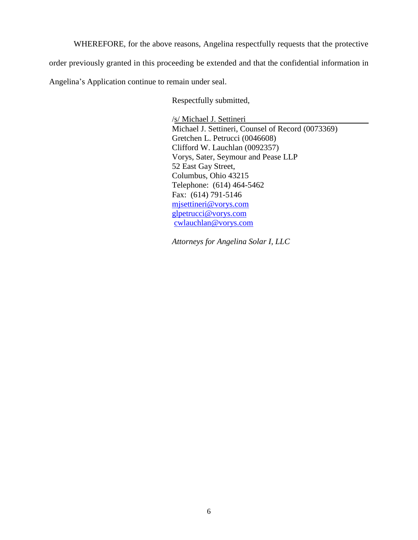WHEREFORE, for the above reasons, Angelina respectfully requests that the protective order previously granted in this proceeding be extended and that the confidential information in Angelina's Application continue to remain under seal.

Respectfully submitted,

/s/ Michael J. Settineri Michael J. Settineri, Counsel of Record (0073369) Gretchen L. Petrucci (0046608) Clifford W. Lauchlan (0092357) Vorys, Sater, Seymour and Pease LLP 52 East Gay Street, Columbus, Ohio 43215 Telephone: (614) 464-5462 Fax: (614) 791-5146 [mjsettineri@vorys.com](mailto:mjsettineri@vorys.com)  [glpetrucci@vorys.com](mailto:glpetrucci@vorys.com) [cwlauchlan@vorys.com](mailto:cwlauchlan@vorys.com)

*Attorneys for Angelina Solar I, LLC*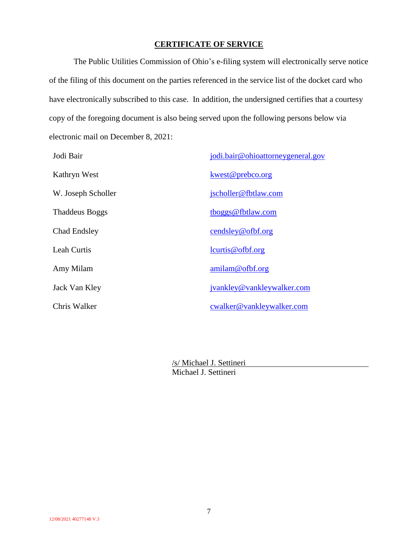### **CERTIFICATE OF SERVICE**

The Public Utilities Commission of Ohio's e-filing system will electronically serve notice of the filing of this document on the parties referenced in the service list of the docket card who have electronically subscribed to this case. In addition, the undersigned certifies that a courtesy copy of the foregoing document is also being served upon the following persons below via electronic mail on December 8, 2021:

| Jodi Bair             | jodi.bair@ohioattorneygeneral.gov |
|-----------------------|-----------------------------------|
| Kathryn West          | kwest@prebco.org                  |
| W. Joseph Scholler    | jscholler@fbtlaw.com              |
| <b>Thaddeus Boggs</b> | tboggs@fbtlaw.com                 |
| Chad Endsley          | cendsley@ofbf.org                 |
| Leah Curtis           | lcurts@ofbf.org                   |
| Amy Milam             | amilam@ofbf.org                   |
| Jack Van Kley         | jvankley@vankleywalker.com        |
| Chris Walker          | cwalker@vankleywalker.com         |

/s/ Michael J. Settineri Michael J. Settineri